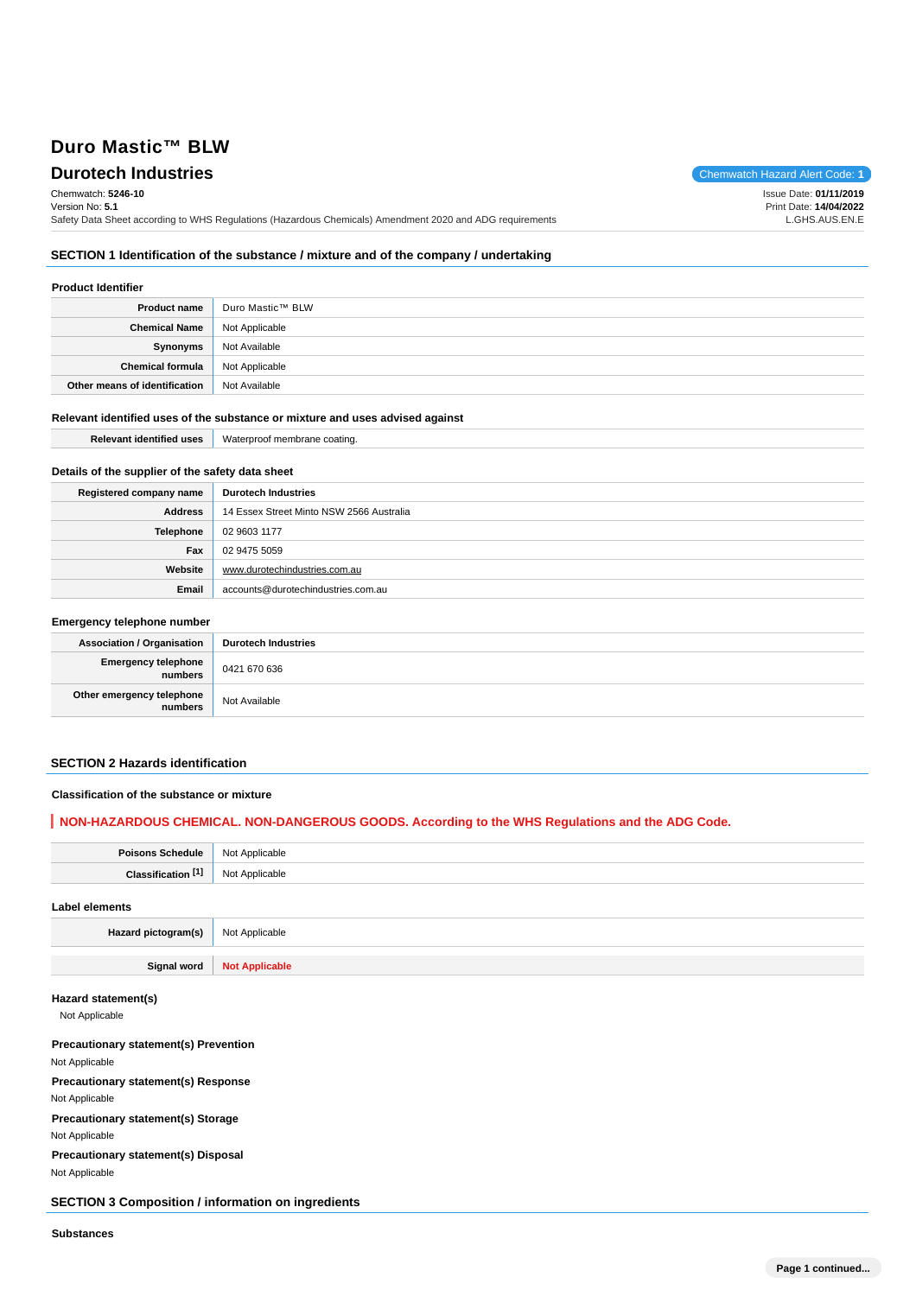**Durotech Industries** Chemwatch Hazard Alert Code: 1 Chemwatch: **5246-10** Version No: **5.1** Safety Data Sheet according to WHS Regulations (Hazardous Chemicals) Amendment 2020 and ADG requirements Issue Date: **01/11/2019** Print Date: **14/04/2022** L.GHS.AUS.EN.E

# **SECTION 1 Identification of the substance / mixture and of the company / undertaking**

## **Product Identifier**

| <b>Product name</b>           | Duro Mastic™ BLW |
|-------------------------------|------------------|
| <b>Chemical Name</b>          | Not Applicable   |
| Synonyms                      | Not Available    |
| Chemical formula              | Not Applicable   |
| Other means of identification | Not Available    |

### **Relevant identified uses of the substance or mixture and uses advised against**

| ---       | .        |
|-----------|----------|
| Palavan   | atına.   |
| .1entitle | vva.     |
| uses      | smnrone. |
|           |          |

## **Details of the supplier of the safety data sheet**

| Registered company name | <b>Durotech Industries</b>               |
|-------------------------|------------------------------------------|
| Address                 | 14 Essex Street Minto NSW 2566 Australia |
| Telephone               | 02 9603 1177                             |
| Fax                     | 02 9475 5059                             |
| Website                 | www.durotechindustries.com.au            |
| Email                   | accounts@durotechindustries.com.au       |

# **Emergency telephone number**

| <b>Association / Organisation</b>            | <b>Durotech Industries</b> |
|----------------------------------------------|----------------------------|
| <b>Emergency telephone</b><br><b>numbers</b> | 0421 670 636               |
| Other emergency telephone<br>numbers         | Not Available              |

#### **SECTION 2 Hazards identification**

#### **Classification of the substance or mixture**

# **NON-HAZARDOUS CHEMICAL. NON-DANGEROUS GOODS. According to the WHS Regulations and the ADG Code.**

| <b>Poisons Schedule</b>       | Not Applicable        |
|-------------------------------|-----------------------|
| Classification <sup>[1]</sup> | Not Applicable        |
| <b>Label elements</b>         |                       |
| Hazard pictogram(s)           | Not Applicable        |
|                               |                       |
| Signal word                   | <b>Not Applicable</b> |

## **Hazard statement(s)**

Not Applicable

# **Precautionary statement(s) Prevention**

Not Applicable

**Precautionary statement(s) Response** Not Applicable

## **Precautionary statement(s) Storage** Not Applicable

**Precautionary statement(s) Disposal** Not Applicable

## **SECTION 3 Composition / information on ingredients**

**Substances**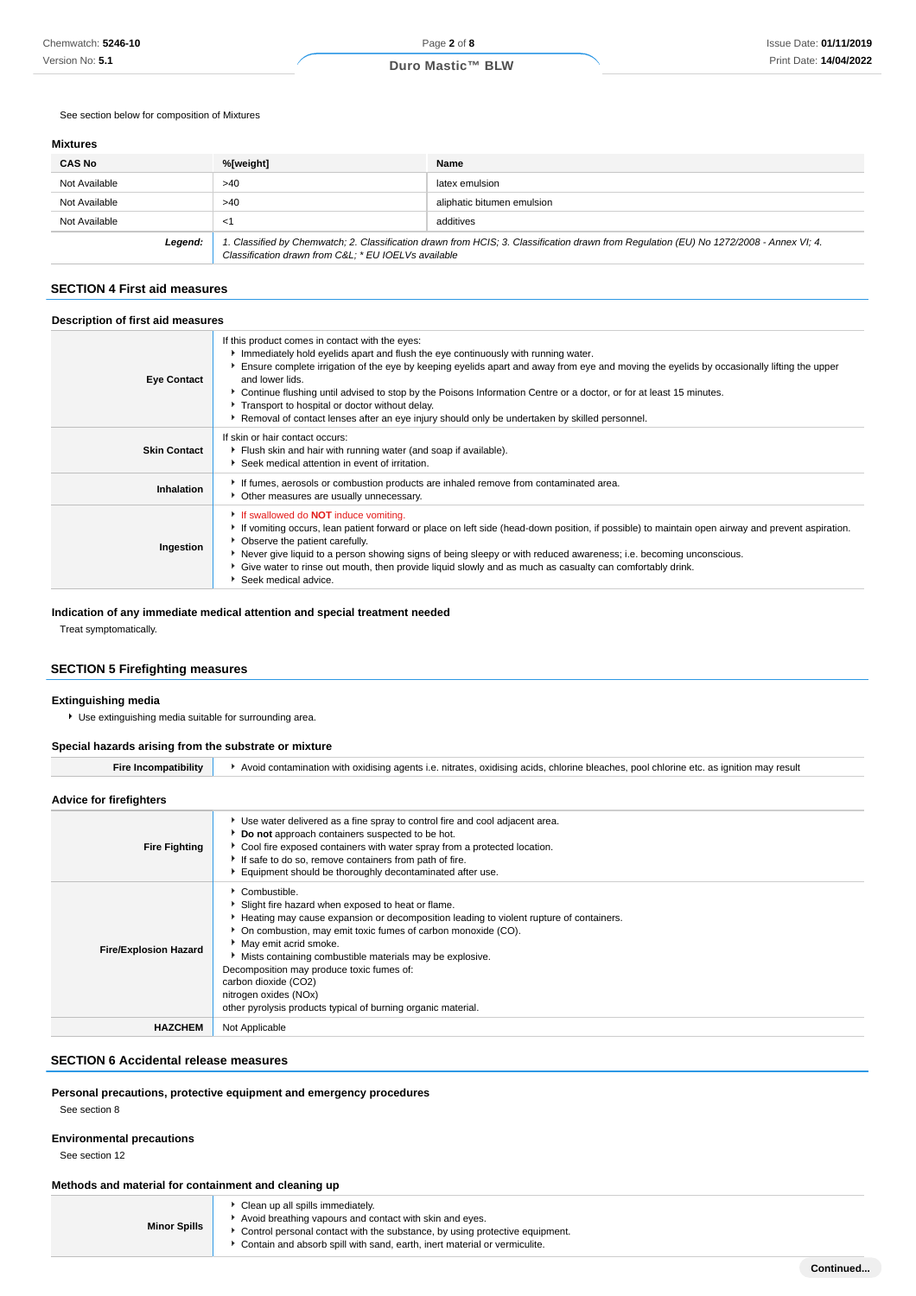See section below for composition of Mixtures

## **Mixtures**

| <b>CAS No</b> | %[weight]                                           | Name                                                                                                                                    |
|---------------|-----------------------------------------------------|-----------------------------------------------------------------------------------------------------------------------------------------|
| Not Available | >40                                                 | latex emulsion                                                                                                                          |
| Not Available | >40                                                 | aliphatic bitumen emulsion                                                                                                              |
| Not Available | <1                                                  | additives                                                                                                                               |
| Legend:       | Classification drawn from C&L * EU IOELVs available | 1. Classified by Chemwatch; 2. Classification drawn from HCIS; 3. Classification drawn from Regulation (EU) No 1272/2008 - Annex VI; 4. |

#### **SECTION 4 First aid measures**

## **Description of first aid measures**

| <b>Eye Contact</b>  | If this product comes in contact with the eyes:<br>Immediately hold eyelids apart and flush the eye continuously with running water.<br>Ensure complete irrigation of the eye by keeping eyelids apart and away from eye and moving the eyelids by occasionally lifting the upper<br>and lower lids.<br>▶ Continue flushing until advised to stop by the Poisons Information Centre or a doctor, or for at least 15 minutes.<br>Transport to hospital or doctor without delay.<br>▶ Removal of contact lenses after an eye injury should only be undertaken by skilled personnel. |
|---------------------|-----------------------------------------------------------------------------------------------------------------------------------------------------------------------------------------------------------------------------------------------------------------------------------------------------------------------------------------------------------------------------------------------------------------------------------------------------------------------------------------------------------------------------------------------------------------------------------|
| <b>Skin Contact</b> | If skin or hair contact occurs:<br>Filush skin and hair with running water (and soap if available).<br>Seek medical attention in event of irritation.                                                                                                                                                                                                                                                                                                                                                                                                                             |
| Inhalation          | If fumes, aerosols or combustion products are inhaled remove from contaminated area.<br>• Other measures are usually unnecessary.                                                                                                                                                                                                                                                                                                                                                                                                                                                 |
| Ingestion           | If swallowed do <b>NOT</b> induce vomiting.<br>If vomiting occurs, lean patient forward or place on left side (head-down position, if possible) to maintain open airway and prevent aspiration.<br>• Observe the patient carefully.<br>▶ Never give liquid to a person showing signs of being sleepy or with reduced awareness; i.e. becoming unconscious.<br>Give water to rinse out mouth, then provide liquid slowly and as much as casualty can comfortably drink.<br>Seek medical advice.                                                                                    |

#### **Indication of any immediate medical attention and special treatment needed**

Treat symptomatically.

## **SECTION 5 Firefighting measures**

### **Extinguishing media**

Use extinguishing media suitable for surrounding area.

## **Special hazards arising from the substrate or mixture**

Fire Incompatibility **Auction** Avoid contamination with oxidising agents i.e. nitrates, oxidising acids, chlorine bleaches, pool chlorine etc. as ignition may result

# **Advice for firefighters**

| <b>Fire Fighting</b>         | ► Use water delivered as a fine spray to control fire and cool adjacent area.<br>Do not approach containers suspected to be hot.<br>► Cool fire exposed containers with water spray from a protected location.<br>If safe to do so, remove containers from path of fire.<br>Equipment should be thoroughly decontaminated after use.                                                                                                                                              |
|------------------------------|-----------------------------------------------------------------------------------------------------------------------------------------------------------------------------------------------------------------------------------------------------------------------------------------------------------------------------------------------------------------------------------------------------------------------------------------------------------------------------------|
| <b>Fire/Explosion Hazard</b> | Combustible.<br>Slight fire hazard when exposed to heat or flame.<br>Heating may cause expansion or decomposition leading to violent rupture of containers.<br>• On combustion, may emit toxic fumes of carbon monoxide (CO).<br>May emit acrid smoke.<br>Mists containing combustible materials may be explosive.<br>Decomposition may produce toxic fumes of:<br>carbon dioxide (CO2)<br>nitrogen oxides (NOx)<br>other pyrolysis products typical of burning organic material. |
| <b>HAZCHEM</b>               | Not Applicable                                                                                                                                                                                                                                                                                                                                                                                                                                                                    |

#### **SECTION 6 Accidental release measures**

#### **Personal precautions, protective equipment and emergency procedures**

See section 8

#### **Environmental precautions**

See section 12

## **Methods and material for containment and cleaning up**

| <b>Minor Spills</b> | Clean up all spills immediately.<br>Avoid breathing vapours and contact with skin and eyes.<br>• Control personal contact with the substance, by using protective equipment.<br>Contain and absorb spill with sand, earth, inert material or vermiculite. |
|---------------------|-----------------------------------------------------------------------------------------------------------------------------------------------------------------------------------------------------------------------------------------------------------|
|---------------------|-----------------------------------------------------------------------------------------------------------------------------------------------------------------------------------------------------------------------------------------------------------|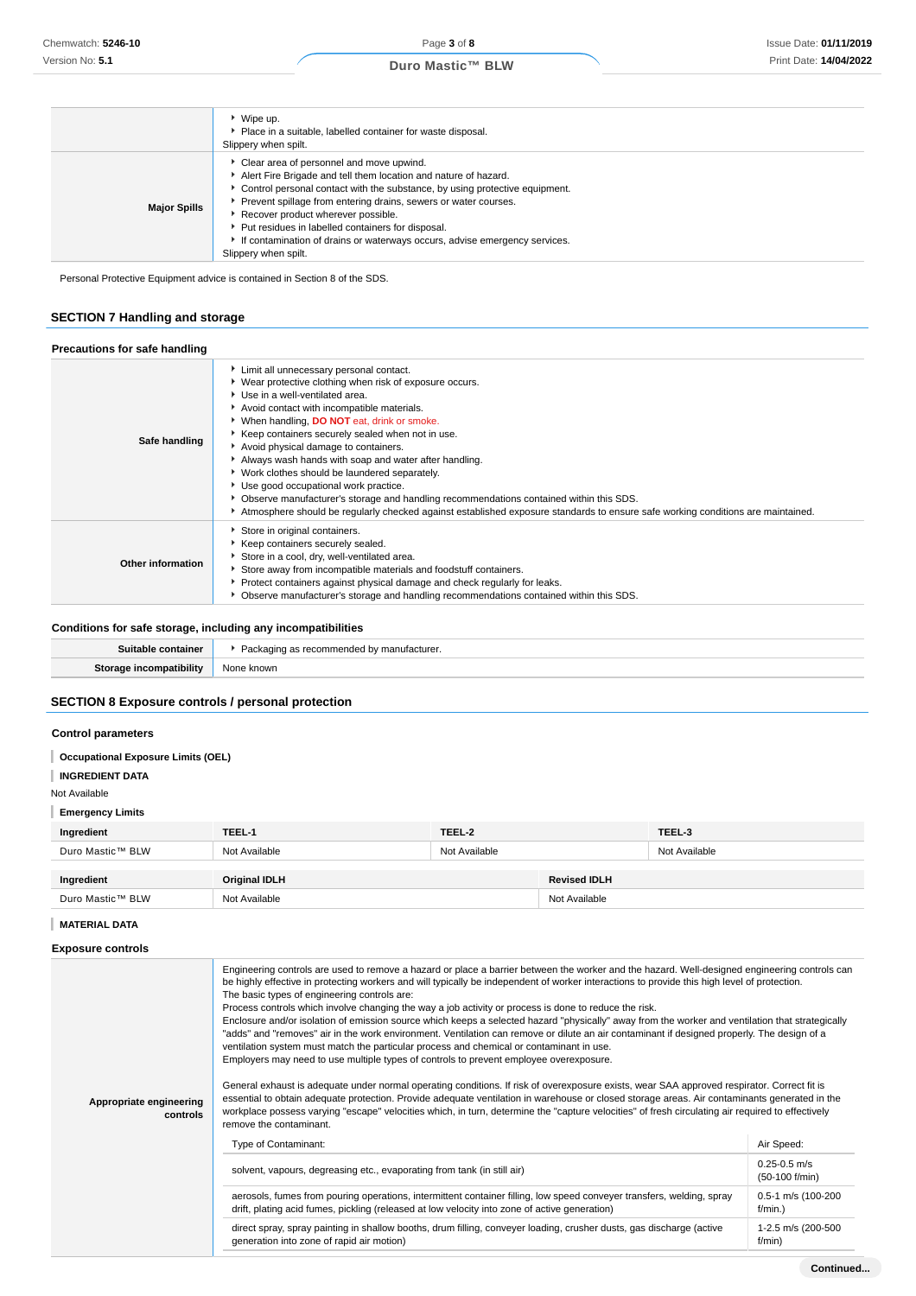|                     | ▶ Wipe up.<br>• Place in a suitable, labelled container for waste disposal.<br>Slippery when spilt.                                                                                                                                                                                                                                                                                                                                                                  |
|---------------------|----------------------------------------------------------------------------------------------------------------------------------------------------------------------------------------------------------------------------------------------------------------------------------------------------------------------------------------------------------------------------------------------------------------------------------------------------------------------|
| <b>Major Spills</b> | • Clear area of personnel and move upwind.<br>Alert Fire Brigade and tell them location and nature of hazard.<br>• Control personal contact with the substance, by using protective equipment.<br>Prevent spillage from entering drains, sewers or water courses.<br>Recover product wherever possible.<br>▶ Put residues in labelled containers for disposal.<br>If contamination of drains or waterways occurs, advise emergency services.<br>Slippery when spilt. |

Personal Protective Equipment advice is contained in Section 8 of the SDS.

# **SECTION 7 Handling and storage**

| Precautions for safe handling |                                                                                                                                                                                                                                                                                                                                                                                                                                                                                                                                                                                                                                                                                                                   |
|-------------------------------|-------------------------------------------------------------------------------------------------------------------------------------------------------------------------------------------------------------------------------------------------------------------------------------------------------------------------------------------------------------------------------------------------------------------------------------------------------------------------------------------------------------------------------------------------------------------------------------------------------------------------------------------------------------------------------------------------------------------|
| Safe handling                 | Limit all unnecessary personal contact.<br>▶ Wear protective clothing when risk of exposure occurs.<br>Use in a well-ventilated area.<br>Avoid contact with incompatible materials.<br>▶ When handling, DO NOT eat, drink or smoke.<br>Keep containers securely sealed when not in use.<br>Avoid physical damage to containers.<br>Always wash hands with soap and water after handling.<br>▶ Work clothes should be laundered separately.<br>Use good occupational work practice.<br>• Observe manufacturer's storage and handling recommendations contained within this SDS.<br>Atmosphere should be regularly checked against established exposure standards to ensure safe working conditions are maintained. |
| Other information             | Store in original containers.<br>Keep containers securely sealed.<br>Store in a cool, dry, well-ventilated area.<br>Store away from incompatible materials and foodstuff containers.<br>▶ Protect containers against physical damage and check regularly for leaks.<br>▶ Observe manufacturer's storage and handling recommendations contained within this SDS.                                                                                                                                                                                                                                                                                                                                                   |

# **Conditions for safe storage, including any incompatibilities**

# **SECTION 8 Exposure controls / personal protection**

## **Control parameters**

| <b>Occupational Exposure Limits (OEL)</b> |                                                                                                                                                                                                                                                                                                       |               |                     |                                                                                                                                               |
|-------------------------------------------|-------------------------------------------------------------------------------------------------------------------------------------------------------------------------------------------------------------------------------------------------------------------------------------------------------|---------------|---------------------|-----------------------------------------------------------------------------------------------------------------------------------------------|
| <b>INGREDIENT DATA</b>                    |                                                                                                                                                                                                                                                                                                       |               |                     |                                                                                                                                               |
| Not Available                             |                                                                                                                                                                                                                                                                                                       |               |                     |                                                                                                                                               |
| <b>Emergency Limits</b>                   |                                                                                                                                                                                                                                                                                                       |               |                     |                                                                                                                                               |
| Ingredient                                | TEEL-1                                                                                                                                                                                                                                                                                                | TEEL-2        |                     | TEEL-3                                                                                                                                        |
| Duro Mastic™ BLW                          | Not Available                                                                                                                                                                                                                                                                                         | Not Available |                     | Not Available                                                                                                                                 |
|                                           |                                                                                                                                                                                                                                                                                                       |               |                     |                                                                                                                                               |
| Ingredient                                | <b>Original IDLH</b>                                                                                                                                                                                                                                                                                  |               | <b>Revised IDLH</b> |                                                                                                                                               |
| Duro Mastic™ BLW                          | Not Available                                                                                                                                                                                                                                                                                         |               |                     |                                                                                                                                               |
| <b>MATERIAL DATA</b>                      |                                                                                                                                                                                                                                                                                                       |               |                     |                                                                                                                                               |
| <b>Exposure controls</b>                  |                                                                                                                                                                                                                                                                                                       |               |                     |                                                                                                                                               |
|                                           | be highly effective in protecting workers and will typically be independent of worker interactions to provide this high level of protection.<br>The basic types of engineering controls are:<br>Process controls which involve changing the way a job activity or process is done to reduce the risk. |               |                     | Engineering controls are used to remove a hazard or place a barrier between the worker and the hazard. Well-designed engineering controls can |

| Appropriate engineering<br>controls | Enclosure and/or isolation of emission source which keeps a selected hazard "physically" away from the worker and ventilation that strategically<br>"adds" and "removes" air in the work environment. Ventilation can remove or dilute an air contaminant if designed properly. The design of a<br>ventilation system must match the particular process and chemical or contaminant in use.<br>Employers may need to use multiple types of controls to prevent employee overexposure.<br>General exhaust is adequate under normal operating conditions. If risk of overexposure exists, wear SAA approved respirator. Correct fit is<br>essential to obtain adequate protection. Provide adequate ventilation in warehouse or closed storage areas. Air contaminants generated in the<br>workplace possess varying "escape" velocities which, in turn, determine the "capture velocities" of fresh circulating air required to effectively<br>remove the contaminant. |                                    |  |
|-------------------------------------|-----------------------------------------------------------------------------------------------------------------------------------------------------------------------------------------------------------------------------------------------------------------------------------------------------------------------------------------------------------------------------------------------------------------------------------------------------------------------------------------------------------------------------------------------------------------------------------------------------------------------------------------------------------------------------------------------------------------------------------------------------------------------------------------------------------------------------------------------------------------------------------------------------------------------------------------------------------------------|------------------------------------|--|
|                                     | Type of Contaminant:                                                                                                                                                                                                                                                                                                                                                                                                                                                                                                                                                                                                                                                                                                                                                                                                                                                                                                                                                  | Air Speed:                         |  |
|                                     | solvent, vapours, degreasing etc., evaporating from tank (in still air)                                                                                                                                                                                                                                                                                                                                                                                                                                                                                                                                                                                                                                                                                                                                                                                                                                                                                               | $0.25 - 0.5$ m/s<br>(50-100 f/min) |  |
|                                     | aerosols, fumes from pouring operations, intermittent container filling, low speed conveyer transfers, welding, spray<br>drift, plating acid fumes, pickling (released at low velocity into zone of active generation)                                                                                                                                                                                                                                                                                                                                                                                                                                                                                                                                                                                                                                                                                                                                                | 0.5-1 m/s (100-200<br>$f/min.$ )   |  |
|                                     | direct spray, spray painting in shallow booths, drum filling, conveyer loading, crusher dusts, gas discharge (active<br>generation into zone of rapid air motion)                                                                                                                                                                                                                                                                                                                                                                                                                                                                                                                                                                                                                                                                                                                                                                                                     | 1-2.5 m/s (200-500<br>f/min)       |  |
|                                     |                                                                                                                                                                                                                                                                                                                                                                                                                                                                                                                                                                                                                                                                                                                                                                                                                                                                                                                                                                       | Continue                           |  |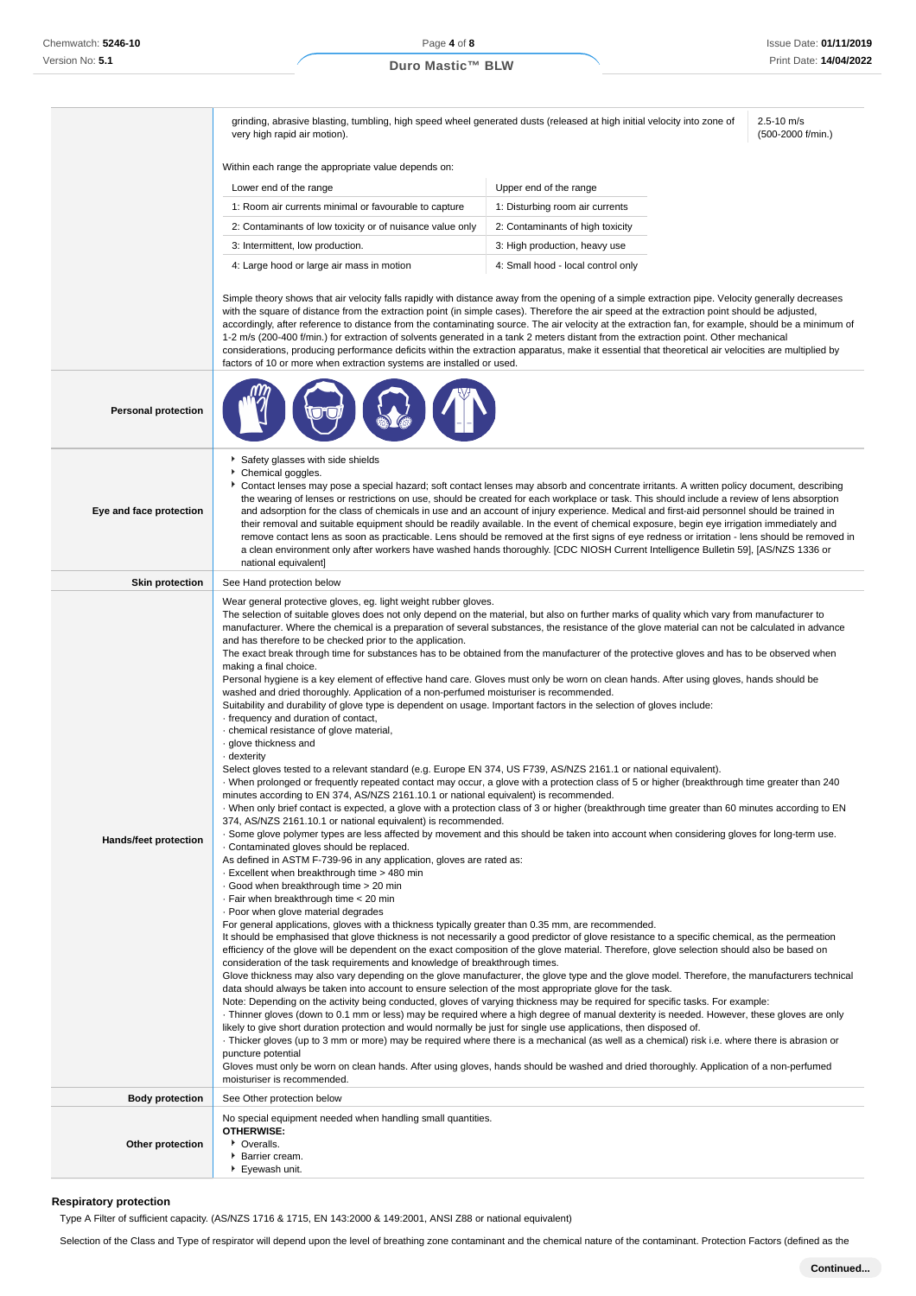grinding, abrasive blasting, tumbling, high speed wheel generated dusts (released at high initial velocity into zone of very high rapid air motion).

2.5-10 m/s (500-2000 f/min.)

Within each range the appropriate value depends on:

| Lower end of the range                                    | Upper end of the range             |
|-----------------------------------------------------------|------------------------------------|
| 1: Room air currents minimal or favourable to capture     | 1: Disturbing room air currents    |
| 2: Contaminants of low toxicity or of nuisance value only | 2: Contaminants of high toxicity   |
| 3: Intermittent, low production.                          | 3: High production, heavy use      |
| 4: Large hood or large air mass in motion                 | 4: Small hood - local control only |

Simple theory shows that air velocity falls rapidly with distance away from the opening of a simple extraction pipe. Velocity generally decreases with the square of distance from the extraction point (in simple cases). Therefore the air speed at the extraction point should be adjusted, accordingly, after reference to distance from the contaminating source. The air velocity at the extraction fan, for example, should be a minimum of 1-2 m/s (200-400 f/min.) for extraction of solvents generated in a tank 2 meters distant from the extraction point. Other mechanical considerations, producing performance deficits within the extraction apparatus, make it essential that theoretical air velocities are multiplied by factors of 10 or more when extraction systems are installed or used.

|                            | <u>ROCIOLO OF HOLD MINIT CARDOLOH SYSICHIS DI CHISIQIICO OF OSCO</u>                                                                                                                                                                                                                                                                                                                                                                                                                                                                                                                                                                                                                                                                                                                                                                                                                                                                                                                                                                                                                                                                                                                                                                                                                                                                                                                                                                                                                                                                                                                                                                                                                                                                                                                                                                                                                                                                                                                                                                                                                                                                                                                                                                                                                                                                                                                                                                                                                                                                                                                                                                                                                                                                                                                                                                                                                                                                                                                                                                                                                                                                                                                                                                                                                                                                                                                                                                                                                                                                                                                                                        |
|----------------------------|-----------------------------------------------------------------------------------------------------------------------------------------------------------------------------------------------------------------------------------------------------------------------------------------------------------------------------------------------------------------------------------------------------------------------------------------------------------------------------------------------------------------------------------------------------------------------------------------------------------------------------------------------------------------------------------------------------------------------------------------------------------------------------------------------------------------------------------------------------------------------------------------------------------------------------------------------------------------------------------------------------------------------------------------------------------------------------------------------------------------------------------------------------------------------------------------------------------------------------------------------------------------------------------------------------------------------------------------------------------------------------------------------------------------------------------------------------------------------------------------------------------------------------------------------------------------------------------------------------------------------------------------------------------------------------------------------------------------------------------------------------------------------------------------------------------------------------------------------------------------------------------------------------------------------------------------------------------------------------------------------------------------------------------------------------------------------------------------------------------------------------------------------------------------------------------------------------------------------------------------------------------------------------------------------------------------------------------------------------------------------------------------------------------------------------------------------------------------------------------------------------------------------------------------------------------------------------------------------------------------------------------------------------------------------------------------------------------------------------------------------------------------------------------------------------------------------------------------------------------------------------------------------------------------------------------------------------------------------------------------------------------------------------------------------------------------------------------------------------------------------------------------------------------------------------------------------------------------------------------------------------------------------------------------------------------------------------------------------------------------------------------------------------------------------------------------------------------------------------------------------------------------------------------------------------------------------------------------------------------------------------|
| <b>Personal protection</b> |                                                                                                                                                                                                                                                                                                                                                                                                                                                                                                                                                                                                                                                                                                                                                                                                                                                                                                                                                                                                                                                                                                                                                                                                                                                                                                                                                                                                                                                                                                                                                                                                                                                                                                                                                                                                                                                                                                                                                                                                                                                                                                                                                                                                                                                                                                                                                                                                                                                                                                                                                                                                                                                                                                                                                                                                                                                                                                                                                                                                                                                                                                                                                                                                                                                                                                                                                                                                                                                                                                                                                                                                                             |
| Eye and face protection    | Safety glasses with side shields<br>Chemical goggles.<br>Contact lenses may pose a special hazard; soft contact lenses may absorb and concentrate irritants. A written policy document, describing<br>the wearing of lenses or restrictions on use, should be created for each workplace or task. This should include a review of lens absorption<br>and adsorption for the class of chemicals in use and an account of injury experience. Medical and first-aid personnel should be trained in<br>their removal and suitable equipment should be readily available. In the event of chemical exposure, begin eye irrigation immediately and<br>remove contact lens as soon as practicable. Lens should be removed at the first signs of eye redness or irritation - lens should be removed in<br>a clean environment only after workers have washed hands thoroughly. [CDC NIOSH Current Intelligence Bulletin 59], [AS/NZS 1336 or<br>national equivalent]                                                                                                                                                                                                                                                                                                                                                                                                                                                                                                                                                                                                                                                                                                                                                                                                                                                                                                                                                                                                                                                                                                                                                                                                                                                                                                                                                                                                                                                                                                                                                                                                                                                                                                                                                                                                                                                                                                                                                                                                                                                                                                                                                                                                                                                                                                                                                                                                                                                                                                                                                                                                                                                                |
| <b>Skin protection</b>     | See Hand protection below                                                                                                                                                                                                                                                                                                                                                                                                                                                                                                                                                                                                                                                                                                                                                                                                                                                                                                                                                                                                                                                                                                                                                                                                                                                                                                                                                                                                                                                                                                                                                                                                                                                                                                                                                                                                                                                                                                                                                                                                                                                                                                                                                                                                                                                                                                                                                                                                                                                                                                                                                                                                                                                                                                                                                                                                                                                                                                                                                                                                                                                                                                                                                                                                                                                                                                                                                                                                                                                                                                                                                                                                   |
| Hands/feet protection      | Wear general protective gloves, eg. light weight rubber gloves.<br>The selection of suitable gloves does not only depend on the material, but also on further marks of quality which vary from manufacturer to<br>manufacturer. Where the chemical is a preparation of several substances, the resistance of the glove material can not be calculated in advance<br>and has therefore to be checked prior to the application.<br>The exact break through time for substances has to be obtained from the manufacturer of the protective gloves and has to be observed when<br>making a final choice.<br>Personal hygiene is a key element of effective hand care. Gloves must only be worn on clean hands. After using gloves, hands should be<br>washed and dried thoroughly. Application of a non-perfumed moisturiser is recommended.<br>Suitability and durability of glove type is dependent on usage. Important factors in the selection of gloves include:<br>- frequency and duration of contact,<br>chemical resistance of glove material,<br>· glove thickness and<br>- dexterity<br>Select gloves tested to a relevant standard (e.g. Europe EN 374, US F739, AS/NZS 2161.1 or national equivalent).<br>When prolonged or frequently repeated contact may occur, a glove with a protection class of 5 or higher (breakthrough time greater than 240<br>minutes according to EN 374, AS/NZS 2161.10.1 or national equivalent) is recommended.<br>When only brief contact is expected, a glove with a protection class of 3 or higher (breakthrough time greater than 60 minutes according to EN<br>374, AS/NZS 2161.10.1 or national equivalent) is recommended.<br>. Some glove polymer types are less affected by movement and this should be taken into account when considering gloves for long-term use.<br>Contaminated gloves should be replaced.<br>As defined in ASTM F-739-96 in any application, gloves are rated as:<br>Excellent when breakthrough time > 480 min<br>Good when breakthrough time > 20 min<br>· Fair when breakthrough time < 20 min<br>. Poor when glove material degrades<br>For general applications, gloves with a thickness typically greater than 0.35 mm, are recommended.<br>It should be emphasised that glove thickness is not necessarily a good predictor of glove resistance to a specific chemical, as the permeation<br>efficiency of the glove will be dependent on the exact composition of the glove material. Therefore, glove selection should also be based on<br>consideration of the task requirements and knowledge of breakthrough times.<br>Glove thickness may also vary depending on the glove manufacturer, the glove type and the glove model. Therefore, the manufacturers technical<br>data should always be taken into account to ensure selection of the most appropriate glove for the task.<br>Note: Depending on the activity being conducted, gloves of varying thickness may be required for specific tasks. For example:<br>· Thinner gloves (down to 0.1 mm or less) may be required where a high degree of manual dexterity is needed. However, these gloves are only<br>likely to give short duration protection and would normally be just for single use applications, then disposed of.<br>Thicker gloves (up to 3 mm or more) may be required where there is a mechanical (as well as a chemical) risk i.e. where there is abrasion or<br>puncture potential<br>Gloves must only be worn on clean hands. After using gloves, hands should be washed and dried thoroughly. Application of a non-perfumed<br>moisturiser is recommended. |
|                            |                                                                                                                                                                                                                                                                                                                                                                                                                                                                                                                                                                                                                                                                                                                                                                                                                                                                                                                                                                                                                                                                                                                                                                                                                                                                                                                                                                                                                                                                                                                                                                                                                                                                                                                                                                                                                                                                                                                                                                                                                                                                                                                                                                                                                                                                                                                                                                                                                                                                                                                                                                                                                                                                                                                                                                                                                                                                                                                                                                                                                                                                                                                                                                                                                                                                                                                                                                                                                                                                                                                                                                                                                             |
| <b>Body protection</b>     | See Other protection below                                                                                                                                                                                                                                                                                                                                                                                                                                                                                                                                                                                                                                                                                                                                                                                                                                                                                                                                                                                                                                                                                                                                                                                                                                                                                                                                                                                                                                                                                                                                                                                                                                                                                                                                                                                                                                                                                                                                                                                                                                                                                                                                                                                                                                                                                                                                                                                                                                                                                                                                                                                                                                                                                                                                                                                                                                                                                                                                                                                                                                                                                                                                                                                                                                                                                                                                                                                                                                                                                                                                                                                                  |
| Other protection           | No special equipment needed when handling small quantities.<br><b>OTHERWISE:</b><br>• Overalls.<br>Barrier cream.<br>▶ Eyewash unit.                                                                                                                                                                                                                                                                                                                                                                                                                                                                                                                                                                                                                                                                                                                                                                                                                                                                                                                                                                                                                                                                                                                                                                                                                                                                                                                                                                                                                                                                                                                                                                                                                                                                                                                                                                                                                                                                                                                                                                                                                                                                                                                                                                                                                                                                                                                                                                                                                                                                                                                                                                                                                                                                                                                                                                                                                                                                                                                                                                                                                                                                                                                                                                                                                                                                                                                                                                                                                                                                                        |

#### **Respiratory protection**

Type A Filter of sufficient capacity. (AS/NZS 1716 & 1715, EN 143:2000 & 149:2001, ANSI Z88 or national equivalent)

Selection of the Class and Type of respirator will depend upon the level of breathing zone contaminant and the chemical nature of the contaminant. Protection Factors (defined as the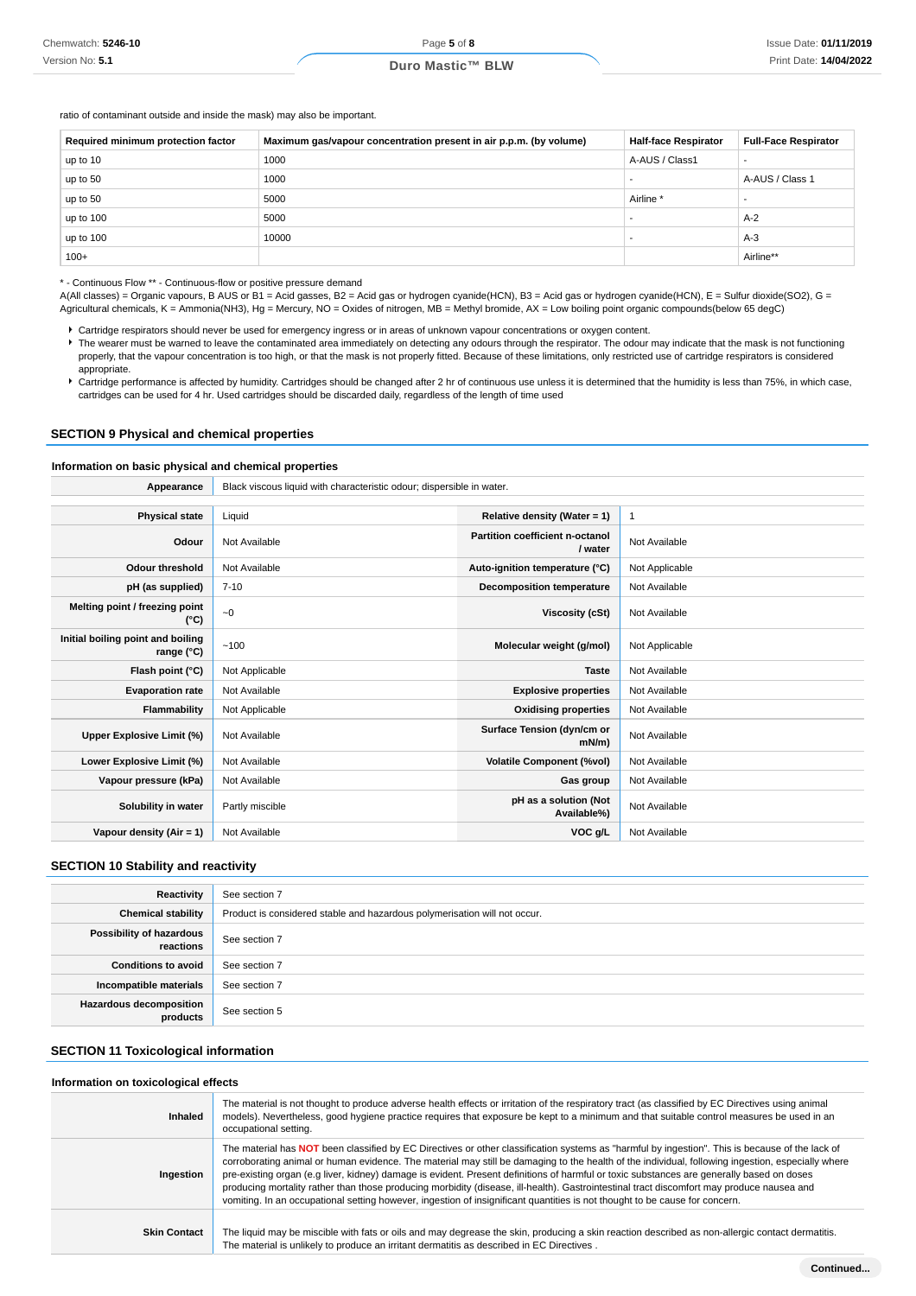ratio of contaminant outside and inside the mask) may also be important.

| Required minimum protection factor | Maximum gas/vapour concentration present in air p.p.m. (by volume) | <b>Half-face Respirator</b> | <b>Full-Face Respirator</b> |
|------------------------------------|--------------------------------------------------------------------|-----------------------------|-----------------------------|
| up to 10                           | 1000                                                               | A-AUS / Class1              | $\overline{\phantom{a}}$    |
| up to 50                           | 1000                                                               |                             | A-AUS / Class 1             |
| up to 50                           | 5000                                                               | Airline <sup>*</sup>        | $\overline{\phantom{a}}$    |
| up to 100                          | 5000                                                               |                             | $A-2$                       |
| up to 100                          | 10000                                                              |                             | $A-3$                       |
| $100+$                             |                                                                    |                             | Airline**                   |

\* - Continuous Flow \*\* - Continuous-flow or positive pressure demand

A(All classes) = Organic vapours, B AUS or B1 = Acid gasses, B2 = Acid gas or hydrogen cyanide(HCN), B3 = Acid gas or hydrogen cyanide(HCN), E = Sulfur dioxide(SO2), G = Agricultural chemicals, K = Ammonia(NH3), Hg = Mercury, NO = Oxides of nitrogen, MB = Methyl bromide, AX = Low boiling point organic compounds(below 65 degC)

Cartridge respirators should never be used for emergency ingress or in areas of unknown vapour concentrations or oxygen content.

The wearer must be warned to leave the contaminated area immediately on detecting any odours through the respirator. The odour may indicate that the mask is not functioning properly, that the vapour concentration is too high, or that the mask is not properly fitted. Because of these limitations, only restricted use of cartridge respirators is considered appropriate.

Cartridge performance is affected by humidity. Cartridges should be changed after 2 hr of continuous use unless it is determined that the humidity is less than 75%, in which case, cartridges can be used for 4 hr. Used cartridges should be discarded daily, regardless of the length of time used

#### **SECTION 9 Physical and chemical properties**

#### **Information on basic physical and chemical properties**

| Appearance                                               | Black viscous liquid with characteristic odour; dispersible in water. |                                            |                |
|----------------------------------------------------------|-----------------------------------------------------------------------|--------------------------------------------|----------------|
|                                                          |                                                                       |                                            |                |
| <b>Physical state</b>                                    | Liquid                                                                | Relative density (Water = 1)               | $\mathbf{1}$   |
| Odour                                                    | Not Available                                                         | Partition coefficient n-octanol<br>/ water | Not Available  |
| <b>Odour threshold</b>                                   | Not Available                                                         | Auto-ignition temperature (°C)             | Not Applicable |
| pH (as supplied)                                         | $7 - 10$                                                              | <b>Decomposition temperature</b>           | Not Available  |
| Melting point / freezing point<br>(°C)                   | ~1                                                                    | Viscosity (cSt)                            | Not Available  |
| Initial boiling point and boiling<br>range $(^{\circ}C)$ | ~100                                                                  | Molecular weight (g/mol)                   | Not Applicable |
| Flash point (°C)                                         | Not Applicable                                                        | <b>Taste</b>                               | Not Available  |
| <b>Evaporation rate</b>                                  | Not Available                                                         | <b>Explosive properties</b>                | Not Available  |
| <b>Flammability</b>                                      | Not Applicable                                                        | <b>Oxidising properties</b>                | Not Available  |
| Upper Explosive Limit (%)                                | Not Available                                                         | Surface Tension (dyn/cm or<br>mN/m         | Not Available  |
| Lower Explosive Limit (%)                                | Not Available                                                         | <b>Volatile Component (%vol)</b>           | Not Available  |
| Vapour pressure (kPa)                                    | Not Available                                                         | Gas group                                  | Not Available  |
| Solubility in water                                      | Partly miscible                                                       | pH as a solution (Not<br>Available%)       | Not Available  |
| Vapour density (Air = 1)                                 | Not Available                                                         | VOC g/L                                    | Not Available  |

# **SECTION 10 Stability and reactivity**

| Reactivity                                 | See section 7                                                             |
|--------------------------------------------|---------------------------------------------------------------------------|
| <b>Chemical stability</b>                  | Product is considered stable and hazardous polymerisation will not occur. |
| Possibility of hazardous<br>reactions      | See section 7                                                             |
| <b>Conditions to avoid</b>                 | See section 7                                                             |
| Incompatible materials                     | See section 7                                                             |
| <b>Hazardous decomposition</b><br>products | See section 5                                                             |

#### **SECTION 11 Toxicological information**

#### **Information on toxicological effects**

| Inhaled             | The material is not thought to produce adverse health effects or irritation of the respiratory tract (as classified by EC Directives using animal<br>models). Nevertheless, good hygiene practice requires that exposure be kept to a minimum and that suitable control measures be used in an<br>occupational setting.                                                                                                                                                                                                                                                                                                                                                                                                       |
|---------------------|-------------------------------------------------------------------------------------------------------------------------------------------------------------------------------------------------------------------------------------------------------------------------------------------------------------------------------------------------------------------------------------------------------------------------------------------------------------------------------------------------------------------------------------------------------------------------------------------------------------------------------------------------------------------------------------------------------------------------------|
| Ingestion           | The material has NOT been classified by EC Directives or other classification systems as "harmful by ingestion". This is because of the lack of<br>corroborating animal or human evidence. The material may still be damaging to the health of the individual, following ingestion, especially where<br>pre-existing organ (e.g liver, kidney) damage is evident. Present definitions of harmful or toxic substances are generally based on doses<br>producing mortality rather than those producing morbidity (disease, ill-health). Gastrointestinal tract discomfort may produce nausea and<br>vomiting. In an occupational setting however, ingestion of insignificant quantities is not thought to be cause for concern. |
| <b>Skin Contact</b> | The liquid may be miscible with fats or oils and may degrease the skin, producing a skin reaction described as non-allergic contact dermatitis.<br>The material is unlikely to produce an irritant dermatitis as described in EC Directives.                                                                                                                                                                                                                                                                                                                                                                                                                                                                                  |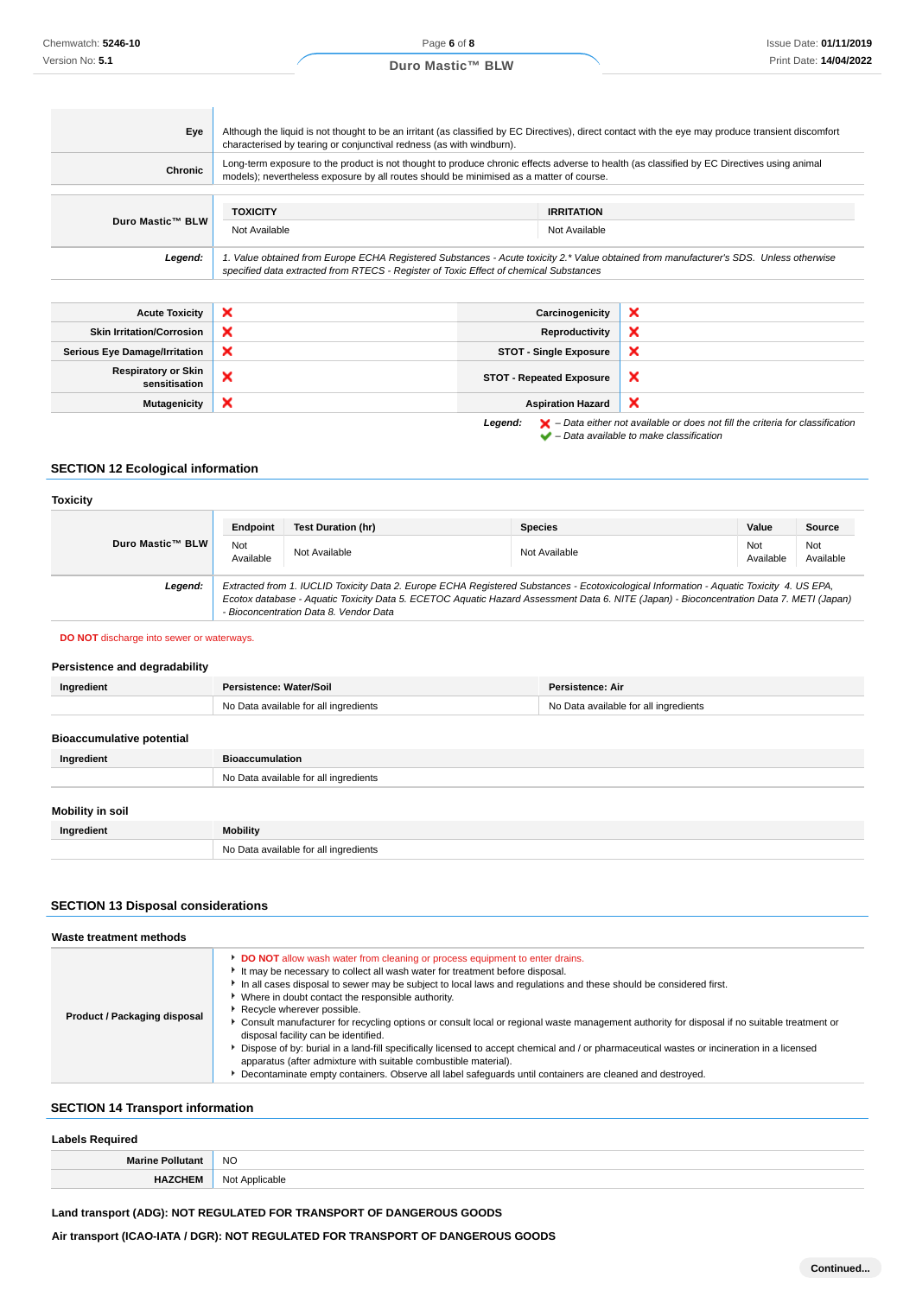| Eye                                         | Although the liquid is not thought to be an irritant (as classified by EC Directives), direct contact with the eye may produce transient discomfort                                                                                   |                                 |                           |  |
|---------------------------------------------|---------------------------------------------------------------------------------------------------------------------------------------------------------------------------------------------------------------------------------------|---------------------------------|---------------------------|--|
|                                             | characterised by tearing or conjunctival redness (as with windburn).                                                                                                                                                                  |                                 |                           |  |
| Chronic                                     | Long-term exposure to the product is not thought to produce chronic effects adverse to health (as classified by EC Directives using animal<br>models); nevertheless exposure by all routes should be minimised as a matter of course. |                                 |                           |  |
|                                             |                                                                                                                                                                                                                                       |                                 |                           |  |
|                                             | <b>IRRITATION</b><br><b>TOXICITY</b>                                                                                                                                                                                                  |                                 |                           |  |
| Duro Mastic™ BLW                            | Not Available<br>Not Available                                                                                                                                                                                                        |                                 |                           |  |
| Legend:                                     | 1. Value obtained from Europe ECHA Registered Substances - Acute toxicity 2.* Value obtained from manufacturer's SDS. Unless otherwise<br>specified data extracted from RTECS - Register of Toxic Effect of chemical Substances       |                                 |                           |  |
|                                             |                                                                                                                                                                                                                                       |                                 |                           |  |
| <b>Acute Toxicity</b>                       | $\boldsymbol{\mathsf{x}}$                                                                                                                                                                                                             | Carcinogenicity                 | ×                         |  |
| <b>Skin Irritation/Corrosion</b>            | ×                                                                                                                                                                                                                                     | Reproductivity                  | ×                         |  |
| <b>Serious Eye Damage/Irritation</b>        | $\boldsymbol{\mathsf{x}}$                                                                                                                                                                                                             | <b>STOT - Single Exposure</b>   | ×                         |  |
| <b>Respiratory or Skin</b><br>sensitisation | ×                                                                                                                                                                                                                                     | <b>STOT - Repeated Exposure</b> | $\boldsymbol{\mathsf{x}}$ |  |
| <b>Mutagenicity</b>                         | ×                                                                                                                                                                                                                                     | <b>Aspiration Hazard</b>        | ×                         |  |

**Legend:**  $\mathbf{X}$  – Data either not available or does not fill the criteria for classification – Data available to make classification

# **SECTION 12 Ecological information**

| <b>Toxicity</b>  |                  |                                        |                                                                                                                                                                                                                                                                                      |                  |                  |
|------------------|------------------|----------------------------------------|--------------------------------------------------------------------------------------------------------------------------------------------------------------------------------------------------------------------------------------------------------------------------------------|------------------|------------------|
|                  | Endpoint         | Test Duration (hr)                     | <b>Species</b>                                                                                                                                                                                                                                                                       | Value            | Source           |
| Duro Mastic™ BLW | Not<br>Available | Not Available                          | Not Available                                                                                                                                                                                                                                                                        | Not<br>Available | Not<br>Available |
| Legend:          |                  | - Bioconcentration Data 8. Vendor Data | Extracted from 1. IUCLID Toxicity Data 2. Europe ECHA Registered Substances - Ecotoxicological Information - Aquatic Toxicity 4. US EPA,<br>Ecotox database - Aquatic Toxicity Data 5. ECETOC Aquatic Hazard Assessment Data 6. NITE (Japan) - Bioconcentration Data 7. METI (Japan) |                  |                  |

#### **DO NOT** discharge into sewer or waterways.

## **Persistence and degradability**

| Ingredient                       | Persistence: Water/Soil               | Persistence: Air                      |
|----------------------------------|---------------------------------------|---------------------------------------|
|                                  | No Data available for all ingredients | No Data available for all ingredients |
|                                  |                                       |                                       |
| <b>Bioaccumulative potential</b> |                                       |                                       |
| Ingredient                       | <b>Bioaccumulation</b>                |                                       |
|                                  | No Data available for all ingredients |                                       |
|                                  |                                       |                                       |
| <b>Mobility in soil</b>          |                                       |                                       |
| Ingredient                       | <b>Mobility</b>                       |                                       |
|                                  | No Data available for all ingredients |                                       |

## **SECTION 13 Disposal considerations**

| Waste treatment methods      |                                                                                                                                                                                                                                                                                                                                                                                                                                                                                                                                                                                                                                                                                                                                                                                                                                                                                         |
|------------------------------|-----------------------------------------------------------------------------------------------------------------------------------------------------------------------------------------------------------------------------------------------------------------------------------------------------------------------------------------------------------------------------------------------------------------------------------------------------------------------------------------------------------------------------------------------------------------------------------------------------------------------------------------------------------------------------------------------------------------------------------------------------------------------------------------------------------------------------------------------------------------------------------------|
| Product / Packaging disposal | DO NOT allow wash water from cleaning or process equipment to enter drains.<br>It may be necessary to collect all wash water for treatment before disposal.<br>In all cases disposal to sewer may be subject to local laws and regulations and these should be considered first.<br>Where in doubt contact the responsible authority.<br>Recycle wherever possible.<br>Consult manufacturer for recycling options or consult local or regional waste management authority for disposal if no suitable treatment or<br>disposal facility can be identified.<br>Dispose of by: burial in a land-fill specifically licensed to accept chemical and / or pharmaceutical wastes or incineration in a licensed<br>apparatus (after admixture with suitable combustible material).<br>Decontaminate empty containers. Observe all label safequards until containers are cleaned and destroyed. |

# **SECTION 14 Transport information**

| <b>Labels Required</b>  |                |  |  |
|-------------------------|----------------|--|--|
| <b>Marine Pollutant</b> | <b>NO</b>      |  |  |
| <b>HAZCHEM</b>          | Not Applicable |  |  |

# **Land transport (ADG): NOT REGULATED FOR TRANSPORT OF DANGEROUS GOODS**

**Air transport (ICAO-IATA / DGR): NOT REGULATED FOR TRANSPORT OF DANGEROUS GOODS**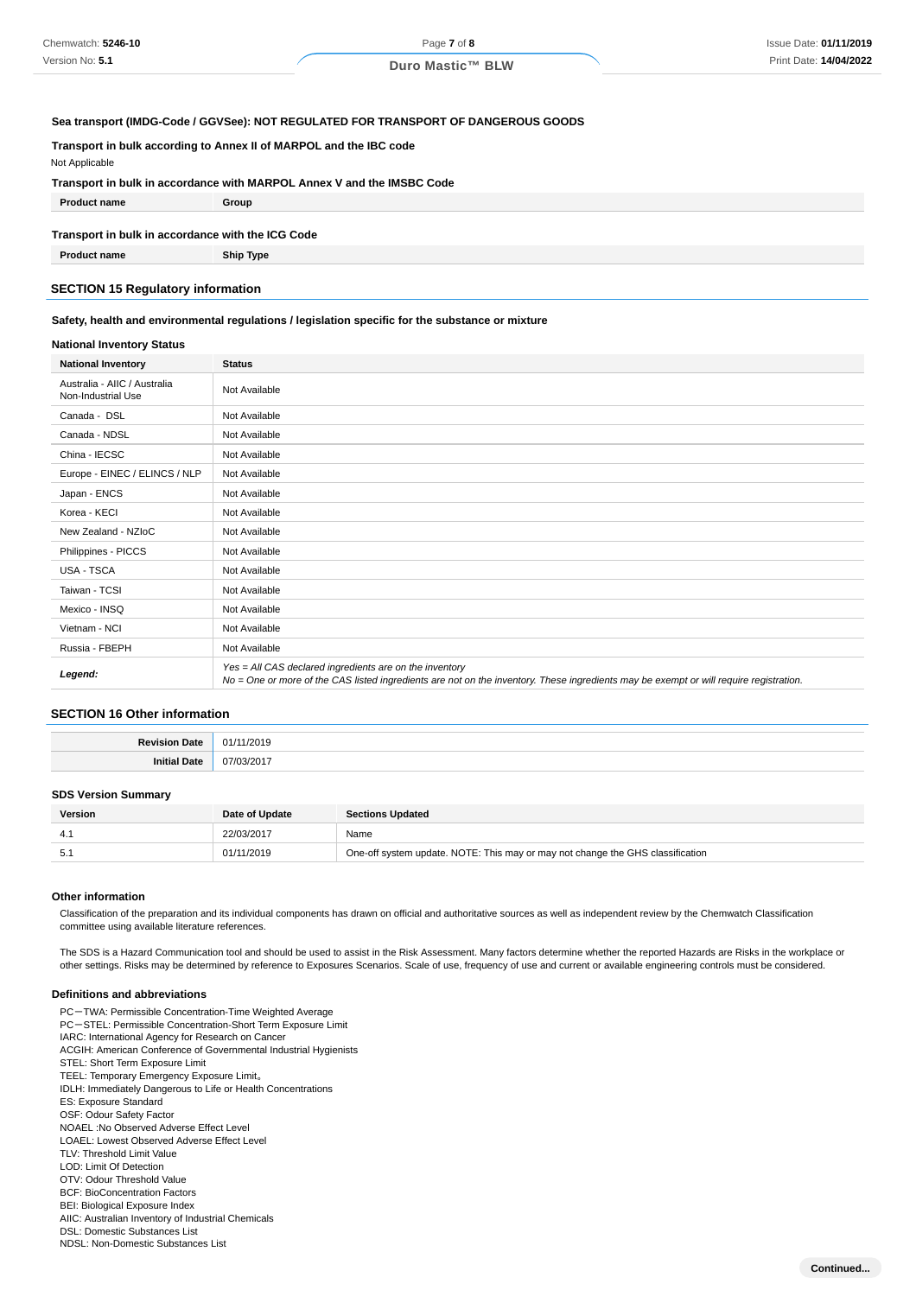## **Sea transport (IMDG-Code / GGVSee): NOT REGULATED FOR TRANSPORT OF DANGEROUS GOODS**

## **Transport in bulk according to Annex II of MARPOL and the IBC code**

Not Applicable

# **Transport in bulk in accordance with MARPOL Annex V and the IMSBC Code**

**Product name Group**

## **Transport in bulk in accordance with the ICG Code**

**Product name Ship Type**

## **SECTION 15 Regulatory information**

### **Safety, health and environmental regulations / legislation specific for the substance or mixture**

## **National Inventory Status**

| <b>National Inventory</b>                          | <b>Status</b>                                                                                                                                                                                     |  |  |
|----------------------------------------------------|---------------------------------------------------------------------------------------------------------------------------------------------------------------------------------------------------|--|--|
| Australia - AIIC / Australia<br>Non-Industrial Use | Not Available                                                                                                                                                                                     |  |  |
| Canada - DSL                                       | Not Available                                                                                                                                                                                     |  |  |
| Canada - NDSL                                      | Not Available                                                                                                                                                                                     |  |  |
| China - IECSC                                      | Not Available                                                                                                                                                                                     |  |  |
| Europe - EINEC / ELINCS / NLP                      | Not Available                                                                                                                                                                                     |  |  |
| Japan - ENCS                                       | Not Available                                                                                                                                                                                     |  |  |
| Korea - KECI                                       | Not Available                                                                                                                                                                                     |  |  |
| New Zealand - NZIoC                                | Not Available                                                                                                                                                                                     |  |  |
| Philippines - PICCS                                | Not Available                                                                                                                                                                                     |  |  |
| USA - TSCA                                         | Not Available                                                                                                                                                                                     |  |  |
| Taiwan - TCSI                                      | Not Available                                                                                                                                                                                     |  |  |
| Mexico - INSQ                                      | Not Available                                                                                                                                                                                     |  |  |
| Vietnam - NCI                                      | Not Available                                                                                                                                                                                     |  |  |
| Russia - FBEPH                                     | Not Available                                                                                                                                                                                     |  |  |
| Legend:                                            | Yes = All CAS declared ingredients are on the inventory<br>No = One or more of the CAS listed ingredients are not on the inventory. These ingredients may be exempt or will require registration. |  |  |

#### **SECTION 16 Other information**

| Davie<br>٩t٤ | 01.<br>.,,<br>. |
|--------------|-----------------|
| au           | 07<br>2 U J     |

#### **SDS Version Summary**

| Version | Date of Update | <b>Sections Updated</b>                                                        |
|---------|----------------|--------------------------------------------------------------------------------|
|         | 22/03/2017     | Name                                                                           |
| 5.1     | 01/11/2019     | One-off system update. NOTE: This may or may not change the GHS classification |

#### **Other information**

Classification of the preparation and its individual components has drawn on official and authoritative sources as well as independent review by the Chemwatch Classification committee using available literature references.

The SDS is a Hazard Communication tool and should be used to assist in the Risk Assessment. Many factors determine whether the reported Hazards are Risks in the workplace or other settings. Risks may be determined by reference to Exposures Scenarios. Scale of use, frequency of use and current or available engineering controls must be considered.

#### **Definitions and abbreviations**

PC-TWA: Permissible Concentration-Time Weighted Average PC-STEL: Permissible Concentration-Short Term Exposure Limit IARC: International Agency for Research on Cancer ACGIH: American Conference of Governmental Industrial Hygienists STEL: Short Term Exposure Limit TEEL: Temporary Emergency Exposure Limit。 IDLH: Immediately Dangerous to Life or Health Concentrations ES: Exposure Standard OSF: Odour Safety Factor NOAEL :No Observed Adverse Effect Level LOAEL: Lowest Observed Adverse Effect Level TLV: Threshold Limit Value LOD: Limit Of Detection OTV: Odour Threshold Value BCF: BioConcentration Factors BEI: Biological Exposure Index AIIC: Australian Inventory of Industrial Chemicals DSL: Domestic Substances List NDSL: Non-Domestic Substances List